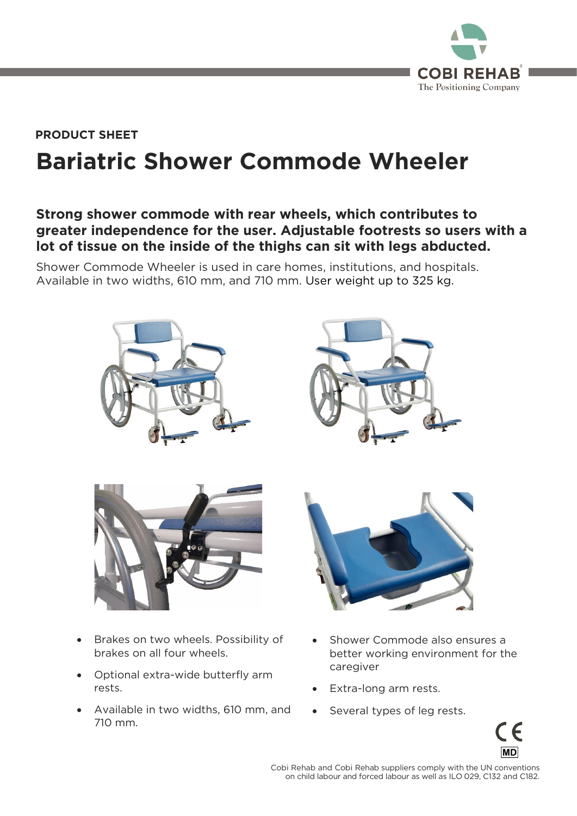

### **Bariatric Shower Commode Wheeler PRODUCT SHEET**

### **Strong shower commode with rear wheels, which contributes to greater independence for the user. Adjustable footrests so users with a lot of tissue on the inside of the thighs can sit with legs abducted.**

Shower Commode Wheeler is used in care homes, institutions, and hospitals.<br>Available in two widths, 610 mm, and 710 mm. User weight up to 325 kg.  $A = \frac{1}{2}$ 







- Brakes on two wheels. Possibility of brakes on all four wheels. brakes on all four wheels.
- Optional extra-wide butterfly arm rests.
- Available in two widths, 610 mm, and 710 mm.



- Shower Commode also ensures a<br>better working environment for the caregiver caregivers in the set of the set of the set of the set of the set of the set of the set of the set of the set of the set of the set of the set of the set of the set of the set of the set of the set of the set of the set of
- Extra-long arm rests.
- Several types of leg rests.



 $\frac{1}{2}$  conchild labour and forced labour as well as II 0.029 C132 and C182 on child labour and forced labour as well as ILO 029, C132 and C182.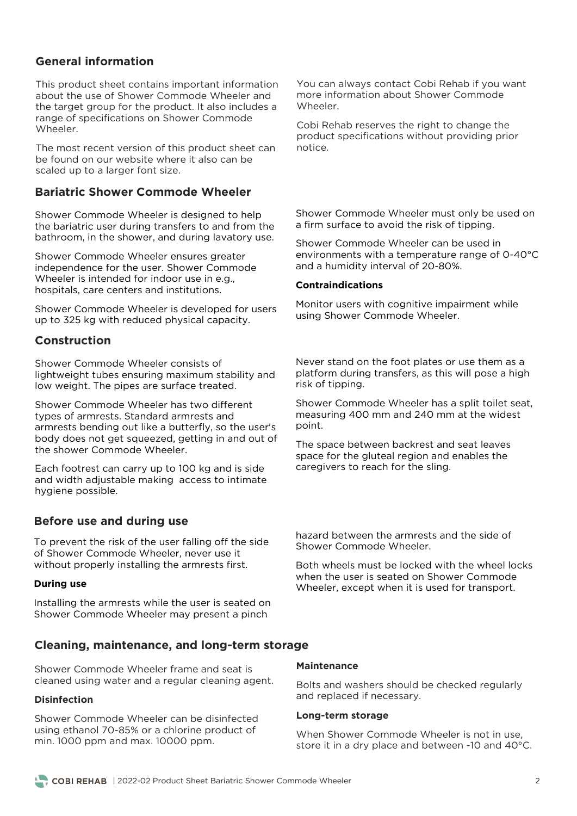#### **General information**

This product sheet contains important information about the use of Shower Commode Wheeler and the target group for the product. It also includes a range of specifications on Shower Commode Wheeler.

The most recent version of this product sheet can be found on our website where it also can be scaled up to a larger font size. scaled up to a larger font size.

#### **Bariatric Shower Commode Wheeler**

Shower Commode Wheeler is designed to help<br>the bariatric user during transfers to and from the the barbian in the shower and during layatory use bathroom, in the shower, and during lavatory use.

Shower Commode Wheeler ensures greater independence for the user. Shower Commode Wheeler is intended for indoor use in e.g., hospitals, care centers and institutions. hospitals, care centers and institutions.

Shower Commode Wheeler is developed for users  $\mathbf{y}$  is 325 kg with reduced physical capacity.

#### **Construction**

Shower Commode Wheeler consists of<br>lightweight tubes ensuring maximum stability and low weight. The pipes are surface treated. low weight. The pipes are surface treated.

Shower Commode Wheeler has two different types of armrests. Standard armrests and armrests bending out like a butterfly, so the user's<br>body does not get squeezed, getting in and out of body does not get squeezed, getting in and out of the shower Commode Wheeler. the shower Commode Wheeler.

Each footrest can carry up to 100 kg and is side and width adjustable making access to intimate and width and width and width and width and width and width and width and width and width and width  $\frac{1}{2}$ hygiene possible.

#### **Before use and during use**

To prevent the risk of the user falling off the side of Shower Commode Wheeler, never use it without properly installing the armrests first with properly installing the arms the arm

#### **During use**

Installing the armrests while the user is seated on Shower Commode Wheeler may present a pinch Shower Commode Wheeler may present a pinch

**Cleaning, maintenance, and long-term storage**

Shower Commode Wheeler frame and seat is cleaned using water and a regular cleaning agent. cleaned using water and a regular cleaning agent.

#### **Disinfection**

Shower Commode Wheeler can be disinfected using ethanol 70-85% or a chlorine product of min.  $1000$  ppm and max.  $10000$  ppm. min. 1000 ppm and max. 10000 ppm.

You can always contact Cobi Rehab if you want<br>more information about Shower Commode Wheeler

Cobi Rehab reserves the right to change the product specifications without providing prior notice.

Shower Commode Wheeler must only be used on<br>a firm surface to avoid the risk of tipping.  $\frac{1}{\sqrt{2}}$ 

Shower Commode Wheeler can be used in<br>environments with a temperature range of 0-40°C and a humidity interval of 20-80%. and a humidity interval of 20-80%.

#### **Contraindications**

Monitor users with cognitive impairment while using Shower Commode Wheeler. using Shower Commode Wheeler.

Never stand on the foot plates or use them as a<br>platform during transfers, as this will pose a high risk of tipping. risk of tipping.

Shower Commode Wheeler has a split toilet seat, measuring 400 mm and 240 mm at the widest  $point$ point.

The space between backrest and seat leaves<br>space for the gluteal region and enables the space in the glute of the sline caregivers to reach for the sling.

hazard between the armrests and the side of Shower Commode Wheeler. Shower Commode Wheeler.

Both wheels must be locked with the wheel locks<br>when the user is seated on Shower Commode when the seated on the new Commode Wheeler, except when it is used for transport.

#### **Maintenance**

and replaced if necessary and replaced if necessary.

#### **Long-term storage**

store it in a dry place and between -10 and  $40^{\circ}$ store it in a dry place and between -10 and 40°C.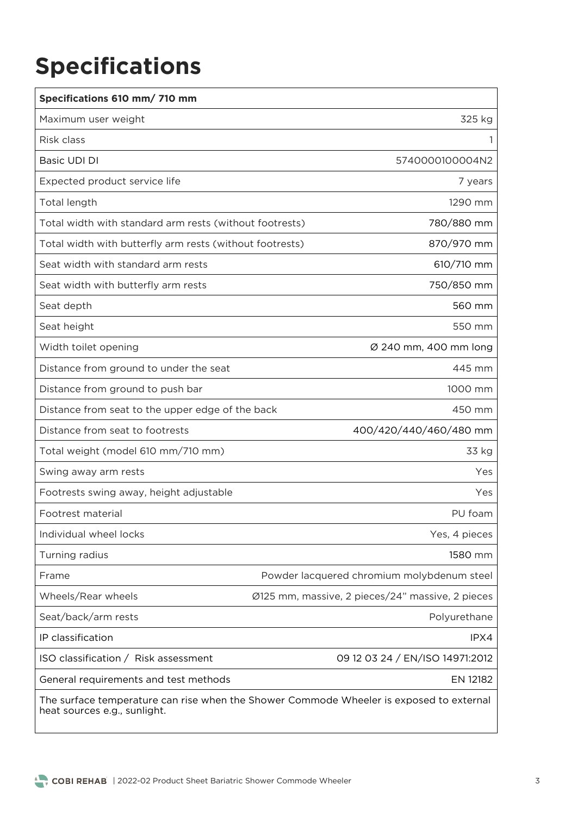# **Specifications**

| Specifications 610 mm/ 710 mm                                                                                           |                                                  |  |
|-------------------------------------------------------------------------------------------------------------------------|--------------------------------------------------|--|
| Maximum user weight                                                                                                     | 325 kg                                           |  |
| Risk class                                                                                                              |                                                  |  |
| Basic UDI DI                                                                                                            | 5740000100004N2                                  |  |
| Expected product service life                                                                                           | 7 years                                          |  |
| Total length                                                                                                            | 1290 mm                                          |  |
| Total width with standard arm rests (without footrests)                                                                 | 780/880 mm                                       |  |
| Total width with butterfly arm rests (without footrests)                                                                | 870/970 mm                                       |  |
| Seat width with standard arm rests                                                                                      | 610/710 mm                                       |  |
| Seat width with butterfly arm rests                                                                                     | 750/850 mm                                       |  |
| Seat depth                                                                                                              | 560 mm                                           |  |
| Seat height                                                                                                             | 550 mm                                           |  |
| Width toilet opening                                                                                                    | Ø 240 mm, 400 mm long                            |  |
| Distance from ground to under the seat                                                                                  | 445 mm                                           |  |
| Distance from ground to push bar                                                                                        | 1000 mm                                          |  |
| Distance from seat to the upper edge of the back                                                                        | 450 mm                                           |  |
| Distance from seat to footrests                                                                                         | 400/420/440/460/480 mm                           |  |
| Total weight (model 610 mm/710 mm)                                                                                      | 33 kg                                            |  |
| Swing away arm rests                                                                                                    | Yes                                              |  |
| Footrests swing away, height adjustable                                                                                 | Yes                                              |  |
| Footrest material                                                                                                       | PU foam                                          |  |
| Individual wheel locks                                                                                                  | Yes, 4 pieces                                    |  |
| Turning radius                                                                                                          | 1580 mm                                          |  |
| Powder lacquered chromium molybdenum steel<br>Frame                                                                     |                                                  |  |
| Wheels/Rear wheels                                                                                                      | Ø125 mm, massive, 2 pieces/24" massive, 2 pieces |  |
| Seat/back/arm rests                                                                                                     | Polyurethane                                     |  |
| IP classification                                                                                                       | IPX4                                             |  |
| ISO classification / Risk assessment                                                                                    | 09 12 03 24 / EN/ISO 14971:2012                  |  |
| General requirements and test methods                                                                                   | EN 12182                                         |  |
| The surface temperature can rise when the Shower Commode Wheeler is exposed to external<br>heat sources e.g., sunlight. |                                                  |  |